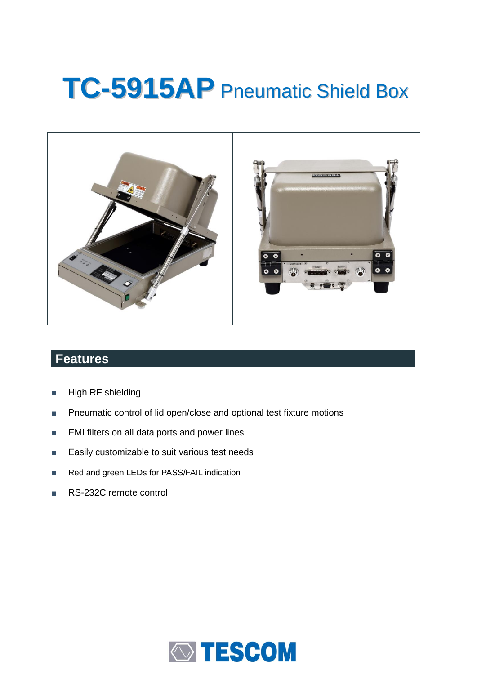# **TC-5915AP** Pneumatic Shield Box



# **Features**

- High RF shielding
- Pneumatic control of lid open/close and optional test fixture motions
- EMI filters on all data ports and power lines
- Easily customizable to suit various test needs
- Red and green LEDs for PASS/FAIL indication
- RS-232C remote control

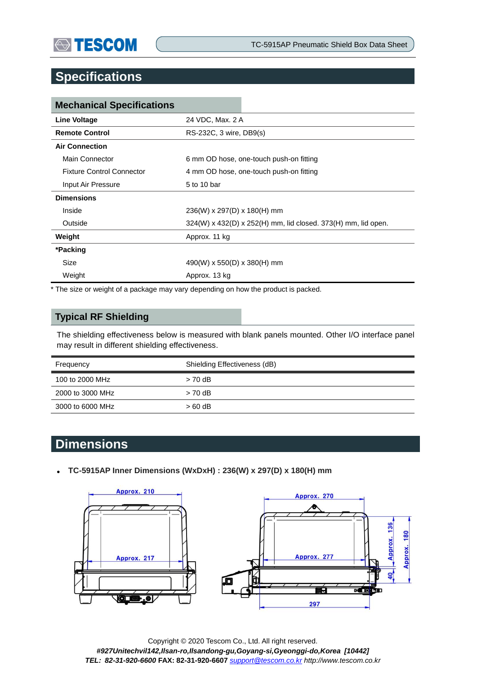## **Specifications**

| <b>Mechanical Specifications</b> |                                                               |  |  |
|----------------------------------|---------------------------------------------------------------|--|--|
| Line Voltage                     | 24 VDC, Max. 2 A                                              |  |  |
| <b>Remote Control</b>            | RS-232C, 3 wire, DB9(s)                                       |  |  |
| <b>Air Connection</b>            |                                                               |  |  |
| Main Connector                   | 6 mm OD hose, one-touch push-on fitting                       |  |  |
| <b>Fixture Control Connector</b> | 4 mm OD hose, one-touch push-on fitting                       |  |  |
| Input Air Pressure               | 5 to 10 bar                                                   |  |  |
| <b>Dimensions</b>                |                                                               |  |  |
| Inside                           | 236(W) x 297(D) x 180(H) mm                                   |  |  |
| Outside                          | 324(W) x 432(D) x 252(H) mm, lid closed. 373(H) mm, lid open. |  |  |
| Weight                           | Approx. 11 kg                                                 |  |  |
| *Packing                         |                                                               |  |  |
| Size                             | $490(W)$ x 550(D) x 380(H) mm                                 |  |  |
| Weight                           | Approx. 13 kg                                                 |  |  |

\* The size or weight of a package may vary depending on how the product is packed.

#### **Typical RF Shielding**

The shielding effectiveness below is measured with blank panels mounted. Other I/O interface panel may result in different shielding effectiveness.

| Frequency        | Shielding Effectiveness (dB) |  |
|------------------|------------------------------|--|
| 100 to 2000 MHz  | $> 70$ dB                    |  |
| 2000 to 3000 MHz | $> 70$ dB                    |  |
| 3000 to 6000 MHz | $>60$ dB                     |  |

## **Dimensions**

**TC-5915AP Inner Dimensions (WxDxH) : 236(W) x 297(D) x 180(H) mm** 



Copyright © 2020 Tescom Co., Ltd. All right reserved. *#927Unitechvil142,Ilsan-ro,Ilsandong-gu,Goyang-si,Gyeonggi-do,Korea [10442] TEL: 82-31-920-6600* **FAX: 82-31-920-6607** *[support@tescom.co.kr](mailto:support@tescom.co.kr) http://www.tescom.co.kr*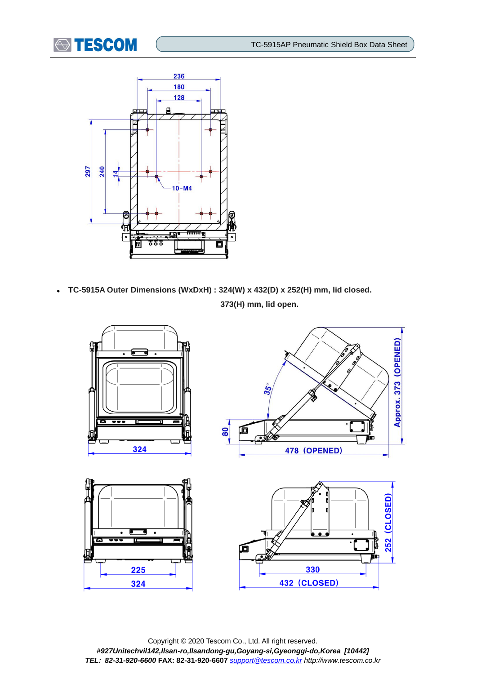



 **TC-5915A Outer Dimensions (WxDxH) : 324(W) x 432(D) x 252(H) mm, lid closed. 373(H) mm, lid open.**



Copyright © 2020 Tescom Co., Ltd. All right reserved. *#927Unitechvil142,Ilsan-ro,Ilsandong-gu,Goyang-si,Gyeonggi-do,Korea [10442] TEL: 82-31-920-6600* **FAX: 82-31-920-6607** *[support@tescom.co.kr](mailto:support@tescom.co.kr) http://www.tescom.co.kr*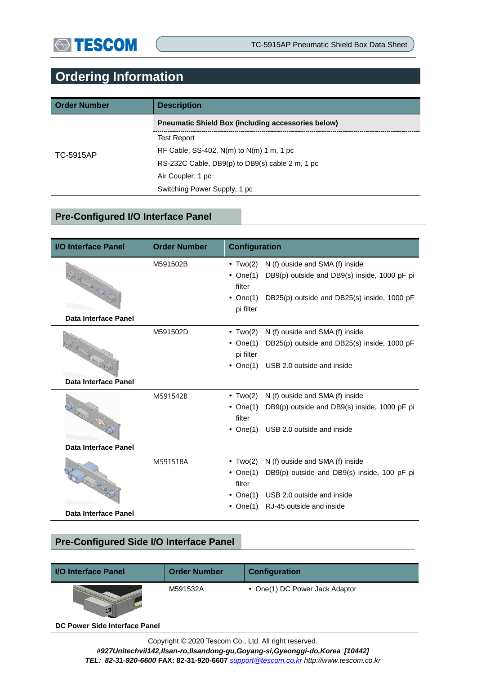# **Ordering Information**

| <b>Order Number</b> | <b>Description</b>                                        |  |  |
|---------------------|-----------------------------------------------------------|--|--|
|                     | <b>Preumatic Shield Box (including accessories below)</b> |  |  |
|                     | <b>Test Report</b>                                        |  |  |
| TC-5915AP           | RF Cable, SS-402, $N(m)$ to $N(m)$ 1 m, 1 pc              |  |  |
|                     | RS-232C Cable, DB9(p) to DB9(s) cable 2 m, 1 pc           |  |  |
|                     | Air Coupler, 1 pc                                         |  |  |
|                     | Switching Power Supply, 1 pc                              |  |  |

#### **Pre-Configured I/O Interface Panel**

| <b>I/O Interface Panel</b>  | <b>Order Number</b> | <b>Configuration</b> |                                              |  |
|-----------------------------|---------------------|----------------------|----------------------------------------------|--|
|                             | M591502B            | $\bullet$ Two(2)     | N (f) ouside and SMA (f) inside              |  |
|                             |                     | $\bullet$ One(1)     | DB9(p) outside and DB9(s) inside, 1000 pF pi |  |
| <b>OUTER ROAD</b>           |                     | filter               |                                              |  |
|                             |                     | • $One(1)$           | DB25(p) outside and DB25(s) inside, 1000 pF  |  |
|                             |                     | pi filter            |                                              |  |
| Data Interface Panel        |                     |                      |                                              |  |
|                             | M591502D            | $\bullet$ Two(2)     | N (f) ouside and SMA (f) inside              |  |
|                             |                     | • $One(1)$           | DB25(p) outside and DB25(s) inside, 1000 pF  |  |
|                             |                     | pi filter            |                                              |  |
|                             |                     | $\bullet$ One(1)     | USB 2.0 outside and inside                   |  |
| Data Interface Panel        |                     |                      |                                              |  |
| <b>REGISTER</b>             | M591542B            | $\cdot$ Two(2)       | N (f) ouside and SMA (f) inside              |  |
|                             |                     | $\bullet$ One(1)     | DB9(p) outside and DB9(s) inside, 1000 pF pi |  |
|                             |                     | filter               |                                              |  |
|                             |                     | • $One(1)$           | USB 2.0 outside and inside                   |  |
| Data Interface Panel        |                     |                      |                                              |  |
|                             | M591518A            | $\cdot$ Two(2)       | N (f) ouside and SMA (f) inside              |  |
| <b>RODIOLOGICA</b>          |                     | • $One(1)$           | DB9(p) outside and DB9(s) inside, 100 pF pi  |  |
|                             |                     | filter               |                                              |  |
|                             |                     | • One $(1)$          | USB 2.0 outside and inside                   |  |
| <b>Data Interface Panel</b> |                     | • $One(1)$           | RJ-45 outside and inside                     |  |
|                             |                     |                      |                                              |  |

### **Pre-Configured Side I/O Interface Panel**

| I/O Interface Panel | <b>Order Number</b> | <b>Configuration</b>           |
|---------------------|---------------------|--------------------------------|
|                     | M591532A            | • One(1) DC Power Jack Adaptor |

**DC Power Side Interface Panel**

*#927Unitechvil142,Ilsan-ro,Ilsandong-gu,Goyang-si,Gyeonggi-do,Korea [10442]*

*TEL: 82-31-920-6600* **FAX: 82-31-920-6607** *[support@tescom.co.kr](mailto:support@tescom.co.kr) http://www.tescom.co.kr*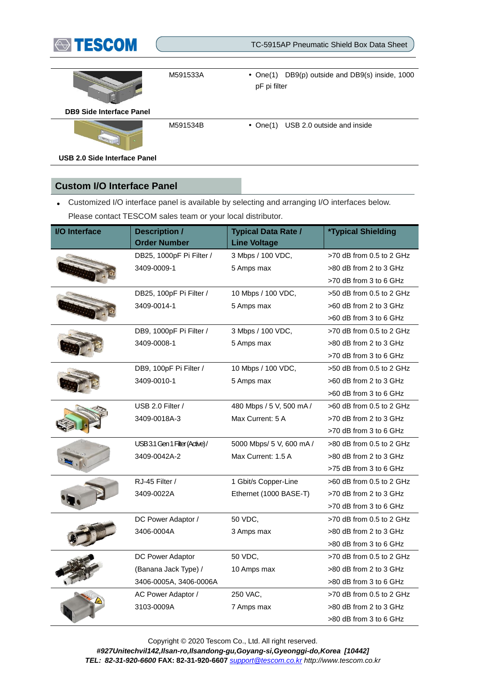

TC-5915AP Pneumatic Shield Box Data Sheet



M591533A One(1) DB9(p) outside and DB9(s) inside, 1000 pF pi filter

**DB9 Side Interface Panel**

M591534B • One(1) USB 2.0 outside and inside

**USB 2.0 Side Interface Panel**

#### **Custom I/O Interface Panel**

 Customized I/O interface panel is available by selecting and arranging I/O interfaces below. Please contact TESCOM sales team or your local distributor.

| <b>I/O Interface</b> | <b>Description /</b>           | <b>Typical Data Rate /</b> | <b>*Typical Shielding</b>  |
|----------------------|--------------------------------|----------------------------|----------------------------|
|                      | <b>Order Number</b>            | <b>Line Voltage</b>        |                            |
|                      | DB25, 1000pF Pi Filter /       | 3 Mbps / 100 VDC,          | >70 dB from 0.5 to 2 GHz   |
|                      | 3409-0009-1                    | 5 Amps max                 | >80 dB from 2 to 3 GHz     |
|                      |                                |                            | >70 dB from 3 to 6 GHz     |
|                      | DB25, 100pF Pi Filter /        | 10 Mbps / 100 VDC,         | >50 dB from 0.5 to 2 GHz   |
|                      | 3409-0014-1                    | 5 Amps max                 | >60 dB from 2 to 3 GHz     |
|                      |                                |                            | >60 dB from 3 to 6 GHz     |
|                      | DB9, 1000pF Pi Filter /        | 3 Mbps / 100 VDC,          | $>70$ dB from 0.5 to 2 GHz |
|                      | 3409-0008-1                    | 5 Amps max                 | >80 dB from 2 to 3 GHz     |
|                      |                                |                            | >70 dB from 3 to 6 GHz     |
|                      | DB9, 100pF Pi Filter /         | 10 Mbps / 100 VDC,         | $>50$ dB from 0.5 to 2 GHz |
|                      | 3409-0010-1                    | 5 Amps max                 | >60 dB from 2 to 3 GHz     |
|                      |                                |                            | >60 dB from 3 to 6 GHz     |
|                      | USB 2.0 Filter /               | 480 Mbps / 5 V, 500 mA /   | $>60$ dB from 0.5 to 2 GHz |
|                      | 3409-0018A-3                   | Max Current: 5 A           | >70 dB from 2 to 3 GHz     |
|                      |                                |                            | >70 dB from 3 to 6 GHz     |
|                      | USB 3.1 Gen 1 Filter (Active)/ | 5000 Mbps/ 5 V, 600 mA /   | $>80$ dB from 0.5 to 2 GHz |
|                      | 3409-0042A-2                   | Max Current: 1.5 A         | >80 dB from 2 to 3 GHz     |
|                      |                                |                            | >75 dB from 3 to 6 GHz     |
|                      | RJ-45 Filter /                 | 1 Gbit/s Copper-Line       | $>60$ dB from 0.5 to 2 GHz |
|                      | 3409-0022A                     | Ethernet (1000 BASE-T)     | >70 dB from 2 to 3 GHz     |
|                      |                                |                            | >70 dB from 3 to 6 GHz     |
|                      | DC Power Adaptor /             | 50 VDC.                    | $>70$ dB from 0.5 to 2 GHz |
|                      | 3406-0004A                     | 3 Amps max                 | >80 dB from 2 to 3 GHz     |
|                      |                                |                            | >80 dB from 3 to 6 GHz     |
|                      | DC Power Adaptor               | 50 VDC,                    | >70 dB from 0.5 to 2 GHz   |
|                      | (Banana Jack Type) /           | 10 Amps max                | >80 dB from 2 to 3 GHz     |
|                      | 3406-0005A, 3406-0006A         |                            | >80 dB from 3 to 6 GHz     |
|                      | AC Power Adaptor /             | 250 VAC,                   | $>70$ dB from 0.5 to 2 GHz |
|                      | 3103-0009A                     | 7 Amps max                 | >80 dB from 2 to 3 GHz     |
|                      |                                |                            | >80 dB from 3 to 6 GHz     |

Copyright © 2020 Tescom Co., Ltd. All right reserved.

*#927Unitechvil142,Ilsan-ro,Ilsandong-gu,Goyang-si,Gyeonggi-do,Korea [10442]*

*TEL: 82-31-920-6600* **FAX: 82-31-920-6607** *[support@tescom.co.kr](mailto:support@tescom.co.kr) http://www.tescom.co.kr*